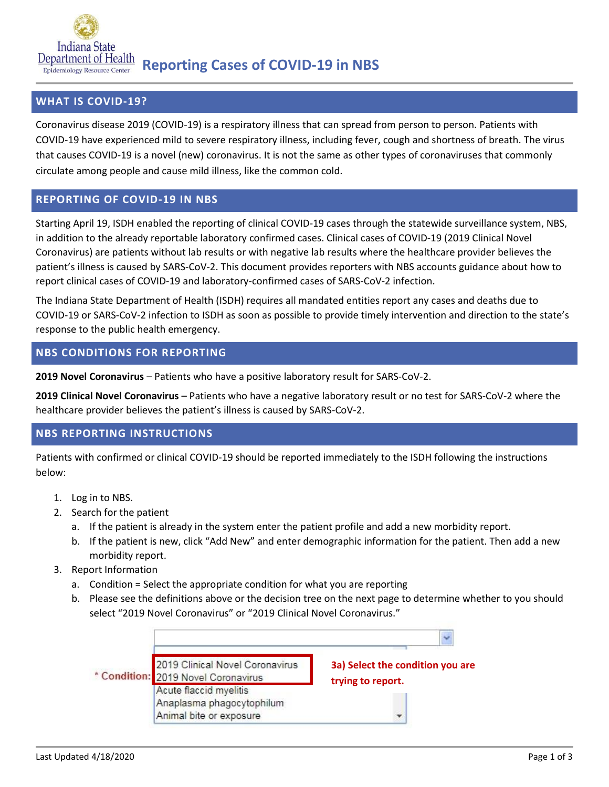

# **WHAT IS COVID-19?**

Coronavirus disease 2019 (COVID-19) is a respiratory illness that can spread from person to person. Patients with COVID-19 have experienced mild to severe respiratory illness, including fever, cough and shortness of breath. The virus that causes COVID-19 is a novel (new) coronavirus. It is not the same as other types of coronaviruses that commonly circulate among people and cause mild illness, like the common cold.

### **REPORTING OF COVID-19 IN NBS**

Starting April 19, ISDH enabled the reporting of clinical COVID-19 cases through the statewide surveillance system, NBS, in addition to the already reportable laboratory confirmed cases. Clinical cases of COVID-19 (2019 Clinical Novel Coronavirus) are patients without lab results or with negative lab results where the healthcare provider believes the patient's illness is caused by SARS-CoV-2. This document provides reporters with NBS accounts guidance about how to report clinical cases of COVID-19 and laboratory-confirmed cases of SARS-CoV-2 infection.

The Indiana State Department of Health (ISDH) requires all mandated entities report any cases and deaths due to COVID-19 or SARS-CoV-2 infection to ISDH as soon as possible to provide timely intervention and direction to the state's response to the public health emergency.

# **NBS CONDITIONS FOR REPORTING**

**2019 Novel Coronavirus** – Patients who have a positive laboratory result for SARS-CoV-2.

**2019 Clinical Novel Coronavirus** – Patients who have a negative laboratory result or no test for SARS-CoV-2 where the healthcare provider believes the patient's illness is caused by SARS-CoV-2.

# **NBS REPORTING INSTRUCTIONS**

Patients with confirmed or clinical COVID-19 should be reported immediately to the ISDH following the instructions below:

- 1. Log in to NBS.
- 2. Search for the patient
	- a. If the patient is already in the system enter the patient profile and add a new morbidity report.
	- b. If the patient is new, click "Add New" and enter demographic information for the patient. Then add a new morbidity report.
- 3. Report Information
	- a. Condition = Select the appropriate condition for what you are reporting
	- b. Please see the definitions above or the decision tree on the next page to determine whether to you should select "2019 Novel Coronavirus" or "2019 Clinical Novel Coronavirus."

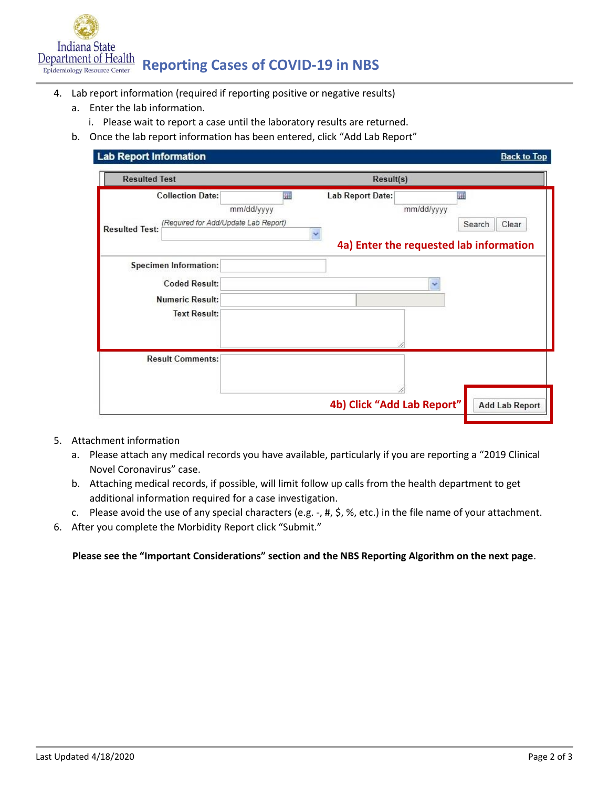

- 4. Lab report information (required if reporting positive or negative results)
	- a. Enter the lab information.
		- i. Please wait to report a case until the laboratory results are returned.
	- b. Once the lab report information has been entered, click "Add Lab Report"

| <b>Resulted Test</b>                                                                     | Result(s)       |                            |            |                                                                 |
|------------------------------------------------------------------------------------------|-----------------|----------------------------|------------|-----------------------------------------------------------------|
| <b>Collection Date:</b><br>(Required for Add/Update Lab Report)<br><b>Resulted Test:</b> | 羅<br>mm/dd/yyyy | Lab Report Date:           | mm/dd/yyyy | 噩<br>Search<br>Clear<br>4a) Enter the requested lab information |
|                                                                                          |                 |                            |            |                                                                 |
| Specimen Information:                                                                    |                 |                            |            |                                                                 |
| <b>Coded Result:</b>                                                                     |                 |                            |            |                                                                 |
| <b>Numeric Result:</b>                                                                   |                 |                            |            |                                                                 |
| <b>Text Result:</b>                                                                      |                 |                            |            |                                                                 |
|                                                                                          |                 |                            |            |                                                                 |
| <b>Result Comments:</b>                                                                  |                 |                            |            |                                                                 |
|                                                                                          |                 |                            |            |                                                                 |
|                                                                                          |                 | 4b) Click "Add Lab Report" |            | <b>Add Lab Report</b>                                           |

- 5. Attachment information
	- a. Please attach any medical records you have available, particularly if you are reporting a "2019 Clinical Novel Coronavirus" case.
	- b. Attaching medical records, if possible, will limit follow up calls from the health department to get additional information required for a case investigation.
	- c. Please avoid the use of any special characters (e.g. -, #, \$, %, etc.) in the file name of your attachment.
- 6. After you complete the Morbidity Report click "Submit."

#### **Please see the "Important Considerations" section and the NBS Reporting Algorithm on the next page**.